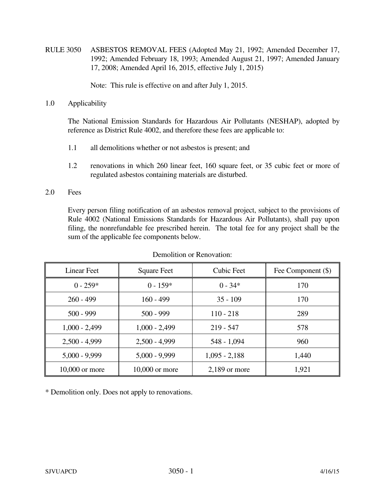RULE 3050 ASBESTOS REMOVAL FEES (Adopted May 21, 1992; Amended December 17, 1992; Amended February 18, 1993; Amended August 21, 1997; Amended January 17, 2008; Amended April 16, 2015, effective July 1, 2015)

Note: This rule is effective on and after July 1, 2015.

1.0 Applicability

 The National Emission Standards for Hazardous Air Pollutants (NESHAP), adopted by reference as District Rule 4002, and therefore these fees are applicable to:

- 1.1 all demolitions whether or not asbestos is present; and
- 1.2 renovations in which 260 linear feet, 160 square feet, or 35 cubic feet or more of regulated asbestos containing materials are disturbed.
- 2.0 Fees

 Every person filing notification of an asbestos removal project, subject to the provisions of Rule 4002 (National Emissions Standards for Hazardous Air Pollutants), shall pay upon filing, the nonrefundable fee prescribed herein. The total fee for any project shall be the sum of the applicable fee components below.

| <b>Linear Feet</b> | <b>Square Feet</b> | <b>Cubic Feet</b> | Fee Component (\$) |
|--------------------|--------------------|-------------------|--------------------|
| $0 - 259*$         | $0 - 159*$         | $0 - 34*$         | 170                |
| $260 - 499$        | $160 - 499$        | $35 - 109$        | 170                |
| $500 - 999$        | $500 - 999$        | $110 - 218$       | 289                |
| $1,000 - 2,499$    | $1,000 - 2,499$    | $219 - 547$       | 578                |
| $2,500 - 4,999$    | $2,500 - 4,999$    | $548 - 1,094$     | 960                |
| $5,000 - 9,999$    | $5,000 - 9,999$    | $1,095 - 2,188$   | 1,440              |
| 10,000 or more     | 10,000 or more     | $2,189$ or more   | 1,921              |

Demolition or Renovation:

\* Demolition only. Does not apply to renovations.